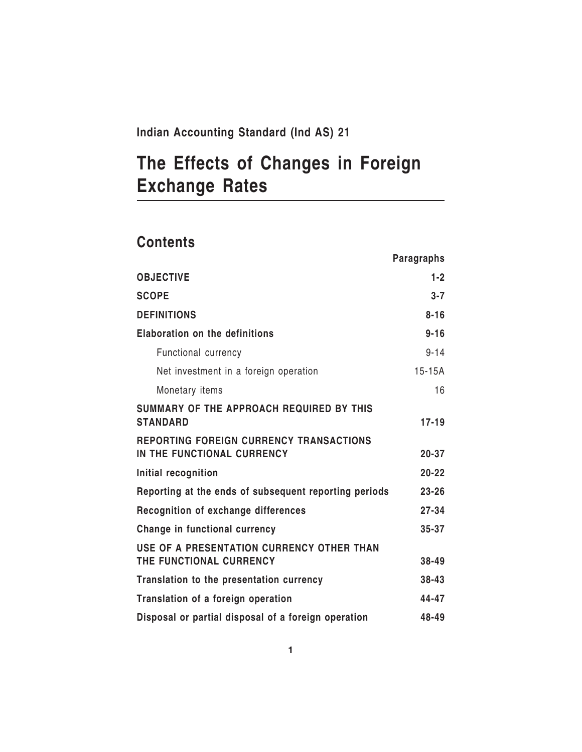## **Indian Accounting Standard (Ind AS) 21**

# **The Effects of Changes in Foreign Exchange Rates**

## **Contents**

|                                                                              | Paragraphs |
|------------------------------------------------------------------------------|------------|
| <b>OBJECTIVE</b>                                                             | $1 - 2$    |
| <b>SCOPE</b>                                                                 | $3 - 7$    |
| <b>DEFINITIONS</b>                                                           | $8 - 16$   |
| <b>Elaboration on the definitions</b>                                        | $9 - 16$   |
| Functional currency                                                          | $9 - 14$   |
| Net investment in a foreign operation                                        | $15-15A$   |
| Monetary items                                                               | 16         |
| SUMMARY OF THE APPROACH REQUIRED BY THIS<br><b>STANDARD</b>                  | $17 - 19$  |
| <b>REPORTING FOREIGN CURRENCY TRANSACTIONS</b><br>IN THE FUNCTIONAL CURRENCY | $20 - 37$  |
| Initial recognition                                                          | $20 - 22$  |
| Reporting at the ends of subsequent reporting periods                        | $23 - 26$  |
| Recognition of exchange differences                                          | $27 - 34$  |
| Change in functional currency                                                | $35 - 37$  |
| USE OF A PRESENTATION CURRENCY OTHER THAN<br>THE FUNCTIONAL CURRENCY         | 38-49      |
| Translation to the presentation currency                                     | $38 - 43$  |
| Translation of a foreign operation                                           | 44-47      |
| Disposal or partial disposal of a foreign operation                          | 48-49      |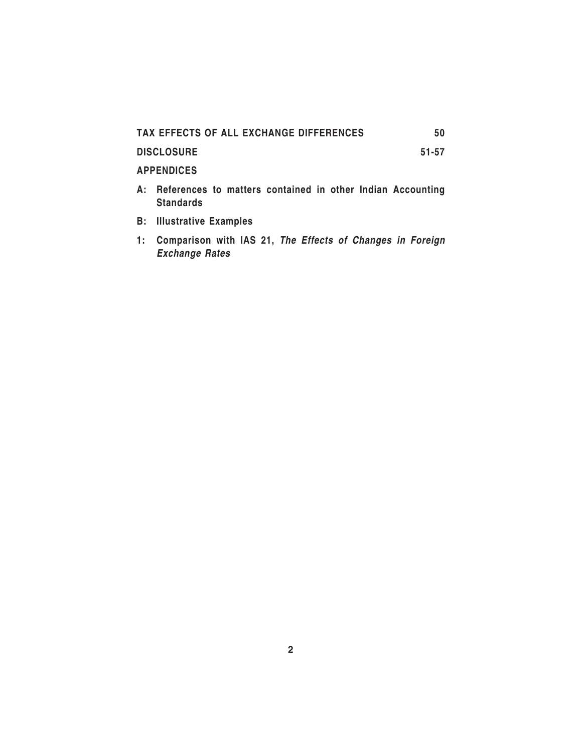| TAX EFFECTS OF ALL EXCHANGE DIFFERENCES                                           | 50    |
|-----------------------------------------------------------------------------------|-------|
| <b>DISCLOSURE</b>                                                                 | 51-57 |
| <b>APPENDICES</b>                                                                 |       |
| A: References to matters contained in other Indian Accounting<br><b>Standards</b> |       |

- **B: Illustrative Examples**
- **1: Comparison with IAS 21, The Effects of Changes in Foreign Exchange Rates**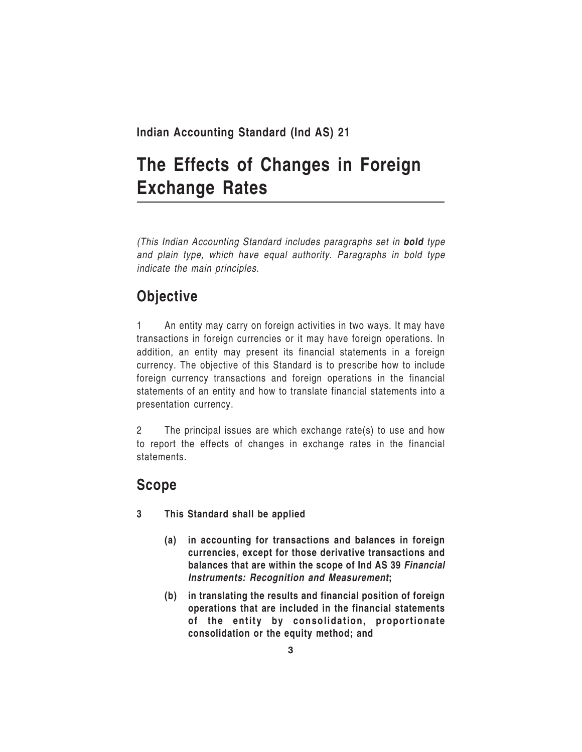**Indian Accounting Standard (Ind AS) 21**

# **The Effects of Changes in Foreign Exchange Rates**

(This Indian Accounting Standard includes paragraphs set in **bold** type and plain type, which have equal authority. Paragraphs in bold type indicate the main principles.

## **Objective**

1 An entity may carry on foreign activities in two ways. It may have transactions in foreign currencies or it may have foreign operations. In addition, an entity may present its financial statements in a foreign currency. The objective of this Standard is to prescribe how to include foreign currency transactions and foreign operations in the financial statements of an entity and how to translate financial statements into a presentation currency.

2 The principal issues are which exchange rate(s) to use and how to report the effects of changes in exchange rates in the financial statements.

## **Scope**

- **3 This Standard shall be applied**
	- **(a) in accounting for transactions and balances in foreign currencies, except for those derivative transactions and balances that are within the scope of Ind AS 39 Financial Instruments: Recognition and Measurement;**
	- **(b) in translating the results and financial position of foreign operations that are included in the financial statements of the entity by consolidation, proportionate consolidation or the equity method; and**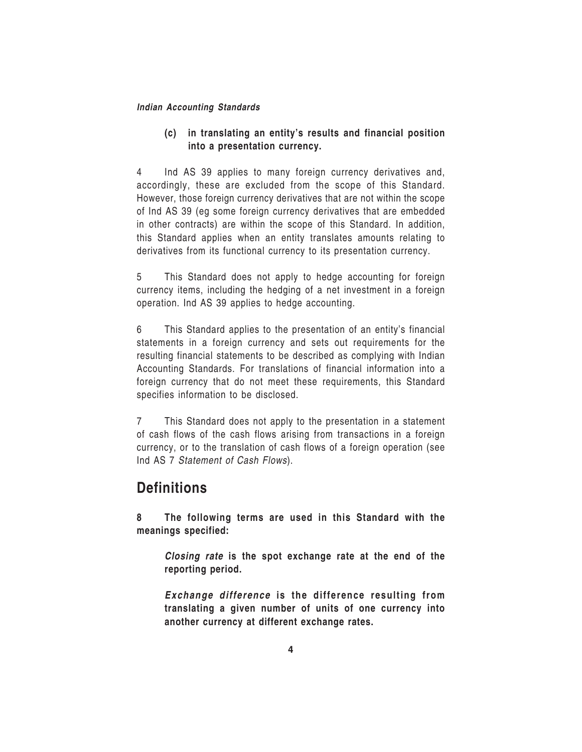### **(c) in translating an entity's results and financial position into a presentation currency.**

4 Ind AS 39 applies to many foreign currency derivatives and, accordingly, these are excluded from the scope of this Standard. However, those foreign currency derivatives that are not within the scope of Ind AS 39 (eg some foreign currency derivatives that are embedded in other contracts) are within the scope of this Standard. In addition, this Standard applies when an entity translates amounts relating to derivatives from its functional currency to its presentation currency.

5 This Standard does not apply to hedge accounting for foreign currency items, including the hedging of a net investment in a foreign operation. Ind AS 39 applies to hedge accounting.

6 This Standard applies to the presentation of an entity's financial statements in a foreign currency and sets out requirements for the resulting financial statements to be described as complying with Indian Accounting Standards. For translations of financial information into a foreign currency that do not meet these requirements, this Standard specifies information to be disclosed.

7 This Standard does not apply to the presentation in a statement of cash flows of the cash flows arising from transactions in a foreign currency, or to the translation of cash flows of a foreign operation (see Ind AS 7 Statement of Cash Flows).

## **Definitions**

**8 The following terms are used in this Standard with the meanings specified:**

**Closing rate is the spot exchange rate at the end of the reporting period.**

**Exchange difference is the difference resulting from translating a given number of units of one currency into another currency at different exchange rates.**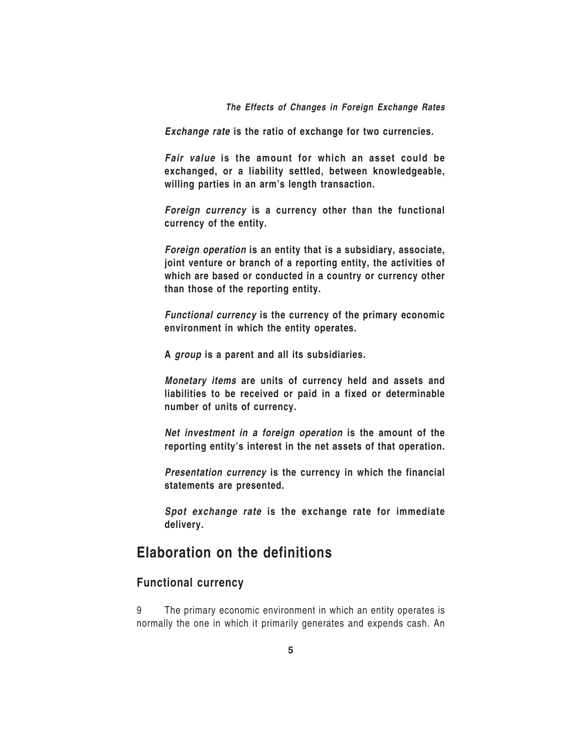**Exchange rate is the ratio of exchange for two currencies.**

**Fair value is the amount for which an asset could be exchanged, or a liability settled, between knowledgeable, willing parties in an arm's length transaction.**

**Foreign currency is a currency other than the functional currency of the entity.**

**Foreign operation is an entity that is a subsidiary, associate, joint venture or branch of a reporting entity, the activities of which are based or conducted in a country or currency other than those of the reporting entity.**

**Functional currency is the currency of the primary economic environment in which the entity operates.**

**A group is a parent and all its subsidiaries.**

**Monetary items are units of currency held and assets and liabilities to be received or paid in a fixed or determinable number of units of currency.**

**Net investment in a foreign operation is the amount of the reporting entity's interest in the net assets of that operation.**

**Presentation currency is the currency in which the financial statements are presented.**

**Spot exchange rate is the exchange rate for immediate delivery.**

## **Elaboration on the definitions**

### **Functional currency**

9 The primary economic environment in which an entity operates is normally the one in which it primarily generates and expends cash. An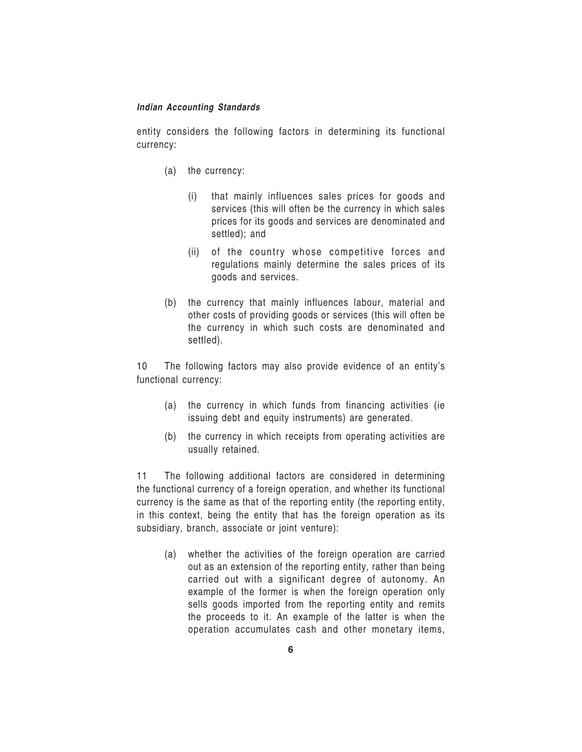entity considers the following factors in determining its functional currency:

- (a) the currency:
	- (i) that mainly influences sales prices for goods and services (this will often be the currency in which sales prices for its goods and services are denominated and settled); and
	- (ii) of the country whose competitive forces and regulations mainly determine the sales prices of its goods and services.
- (b) the currency that mainly influences labour, material and other costs of providing goods or services (this will often be the currency in which such costs are denominated and settled).

10 The following factors may also provide evidence of an entity's functional currency:

- (a) the currency in which funds from financing activities (ie issuing debt and equity instruments) are generated.
- (b) the currency in which receipts from operating activities are usually retained.

11 The following additional factors are considered in determining the functional currency of a foreign operation, and whether its functional currency is the same as that of the reporting entity (the reporting entity, in this context, being the entity that has the foreign operation as its subsidiary, branch, associate or joint venture):

(a) whether the activities of the foreign operation are carried out as an extension of the reporting entity, rather than being carried out with a significant degree of autonomy. An example of the former is when the foreign operation only sells goods imported from the reporting entity and remits the proceeds to it. An example of the latter is when the operation accumulates cash and other monetary items,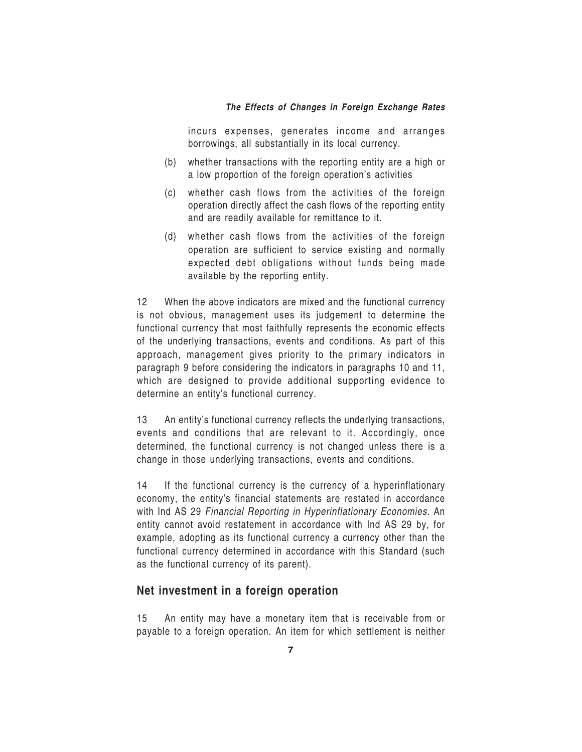incurs expenses, generates income and arranges borrowings, all substantially in its local currency.

- (b) whether transactions with the reporting entity are a high or a low proportion of the foreign operation's activities
- (c) whether cash flows from the activities of the foreign operation directly affect the cash flows of the reporting entity and are readily available for remittance to it.
- (d) whether cash flows from the activities of the foreign operation are sufficient to service existing and normally expected debt obligations without funds being made available by the reporting entity.

12 When the above indicators are mixed and the functional currency is not obvious, management uses its judgement to determine the functional currency that most faithfully represents the economic effects of the underlying transactions, events and conditions. As part of this approach, management gives priority to the primary indicators in paragraph 9 before considering the indicators in paragraphs 10 and 11, which are designed to provide additional supporting evidence to determine an entity's functional currency.

13 An entity's functional currency reflects the underlying transactions, events and conditions that are relevant to it. Accordingly, once determined, the functional currency is not changed unless there is a change in those underlying transactions, events and conditions.

14 If the functional currency is the currency of a hyperinflationary economy, the entity's financial statements are restated in accordance with Ind AS 29 Financial Reporting in Hyperinflationary Economies. An entity cannot avoid restatement in accordance with Ind AS 29 by, for example, adopting as its functional currency a currency other than the functional currency determined in accordance with this Standard (such as the functional currency of its parent).

### **Net investment in a foreign operation**

15 An entity may have a monetary item that is receivable from or payable to a foreign operation. An item for which settlement is neither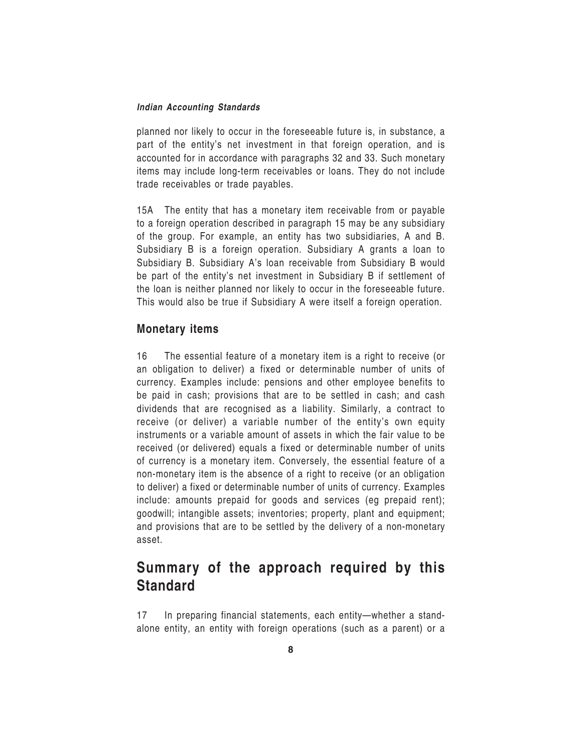planned nor likely to occur in the foreseeable future is, in substance, a part of the entity's net investment in that foreign operation, and is accounted for in accordance with paragraphs 32 and 33. Such monetary items may include long-term receivables or loans. They do not include trade receivables or trade payables.

15A The entity that has a monetary item receivable from or payable to a foreign operation described in paragraph 15 may be any subsidiary of the group. For example, an entity has two subsidiaries, A and B. Subsidiary B is a foreign operation. Subsidiary A grants a loan to Subsidiary B. Subsidiary A's loan receivable from Subsidiary B would be part of the entity's net investment in Subsidiary B if settlement of the loan is neither planned nor likely to occur in the foreseeable future. This would also be true if Subsidiary A were itself a foreign operation.

### **Monetary items**

16 The essential feature of a monetary item is a right to receive (or an obligation to deliver) a fixed or determinable number of units of currency. Examples include: pensions and other employee benefits to be paid in cash; provisions that are to be settled in cash; and cash dividends that are recognised as a liability. Similarly, a contract to receive (or deliver) a variable number of the entity's own equity instruments or a variable amount of assets in which the fair value to be received (or delivered) equals a fixed or determinable number of units of currency is a monetary item. Conversely, the essential feature of a non-monetary item is the absence of a right to receive (or an obligation to deliver) a fixed or determinable number of units of currency. Examples include: amounts prepaid for goods and services (eg prepaid rent); goodwill; intangible assets; inventories; property, plant and equipment; and provisions that are to be settled by the delivery of a non-monetary asset.

## **Summary of the approach required by this Standard**

17 In preparing financial statements, each entity—whether a standalone entity, an entity with foreign operations (such as a parent) or a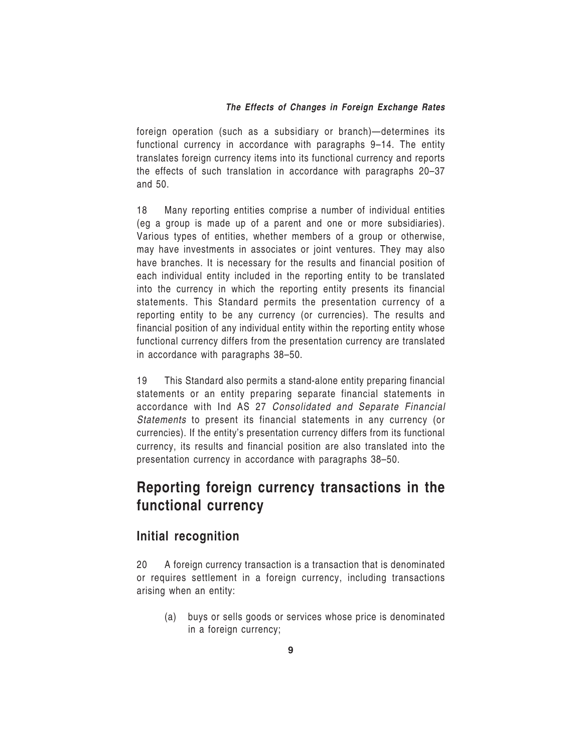foreign operation (such as a subsidiary or branch)—determines its functional currency in accordance with paragraphs 9–14. The entity translates foreign currency items into its functional currency and reports the effects of such translation in accordance with paragraphs 20–37 and 50.

18 Many reporting entities comprise a number of individual entities (eg a group is made up of a parent and one or more subsidiaries). Various types of entities, whether members of a group or otherwise, may have investments in associates or joint ventures. They may also have branches. It is necessary for the results and financial position of each individual entity included in the reporting entity to be translated into the currency in which the reporting entity presents its financial statements. This Standard permits the presentation currency of a reporting entity to be any currency (or currencies). The results and financial position of any individual entity within the reporting entity whose functional currency differs from the presentation currency are translated in accordance with paragraphs 38–50.

19 This Standard also permits a stand-alone entity preparing financial statements or an entity preparing separate financial statements in accordance with Ind AS 27 Consolidated and Separate Financial Statements to present its financial statements in any currency (or currencies). If the entity's presentation currency differs from its functional currency, its results and financial position are also translated into the presentation currency in accordance with paragraphs 38–50.

## **Reporting foreign currency transactions in the functional currency**

## **Initial recognition**

20 A foreign currency transaction is a transaction that is denominated or requires settlement in a foreign currency, including transactions arising when an entity:

(a) buys or sells goods or services whose price is denominated in a foreign currency;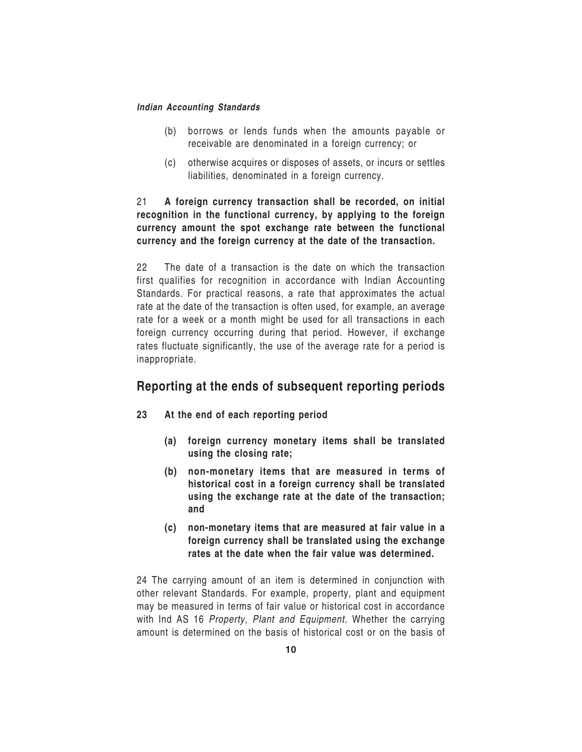- (b) borrows or lends funds when the amounts payable or receivable are denominated in a foreign currency; or
- (c) otherwise acquires or disposes of assets, or incurs or settles liabilities, denominated in a foreign currency.

## 21 **A foreign currency transaction shall be recorded, on initial recognition in the functional currency, by applying to the foreign currency amount the spot exchange rate between the functional currency and the foreign currency at the date of the transaction.**

22 The date of a transaction is the date on which the transaction first qualifies for recognition in accordance with Indian Accounting Standards. For practical reasons, a rate that approximates the actual rate at the date of the transaction is often used, for example, an average rate for a week or a month might be used for all transactions in each foreign currency occurring during that period. However, if exchange rates fluctuate significantly, the use of the average rate for a period is inappropriate.

## **Reporting at the ends of subsequent reporting periods**

- **23 At the end of each reporting period**
	- **(a) foreign currency monetary items shall be translated using the closing rate;**
	- **(b) non-monetary items that are measured in terms of historical cost in a foreign currency shall be translated using the exchange rate at the date of the transaction; and**
	- **(c) non-monetary items that are measured at fair value in a foreign currency shall be translated using the exchange rates at the date when the fair value was determined.**

24 The carrying amount of an item is determined in conjunction with other relevant Standards. For example, property, plant and equipment may be measured in terms of fair value or historical cost in accordance with Ind AS 16 Property, Plant and Equipment. Whether the carrying amount is determined on the basis of historical cost or on the basis of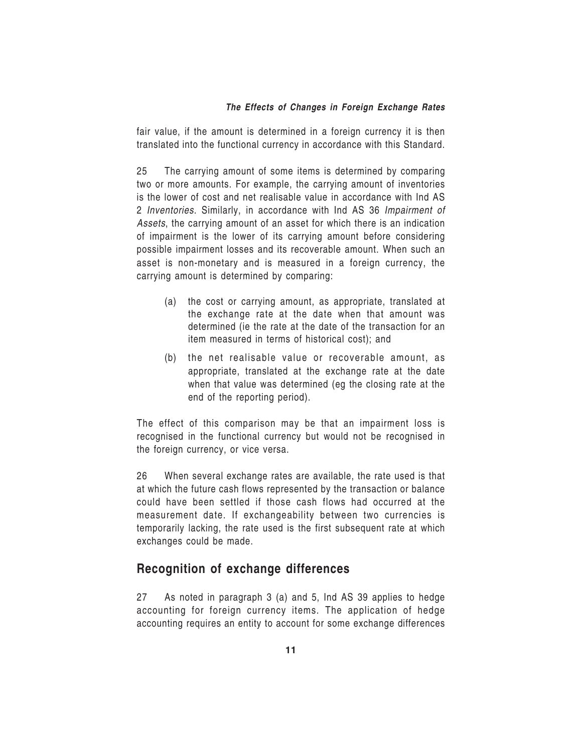fair value, if the amount is determined in a foreign currency it is then translated into the functional currency in accordance with this Standard.

25 The carrying amount of some items is determined by comparing two or more amounts. For example, the carrying amount of inventories is the lower of cost and net realisable value in accordance with Ind AS 2 Inventories. Similarly, in accordance with Ind AS 36 Impairment of Assets, the carrying amount of an asset for which there is an indication of impairment is the lower of its carrying amount before considering possible impairment losses and its recoverable amount. When such an asset is non-monetary and is measured in a foreign currency, the carrying amount is determined by comparing:

- (a) the cost or carrying amount, as appropriate, translated at the exchange rate at the date when that amount was determined (ie the rate at the date of the transaction for an item measured in terms of historical cost); and
- (b) the net realisable value or recoverable amount, as appropriate, translated at the exchange rate at the date when that value was determined (eg the closing rate at the end of the reporting period).

The effect of this comparison may be that an impairment loss is recognised in the functional currency but would not be recognised in the foreign currency, or vice versa.

26 When several exchange rates are available, the rate used is that at which the future cash flows represented by the transaction or balance could have been settled if those cash flows had occurred at the measurement date. If exchangeability between two currencies is temporarily lacking, the rate used is the first subsequent rate at which exchanges could be made.

## **Recognition of exchange differences**

27 As noted in paragraph 3 (a) and 5, Ind AS 39 applies to hedge accounting for foreign currency items. The application of hedge accounting requires an entity to account for some exchange differences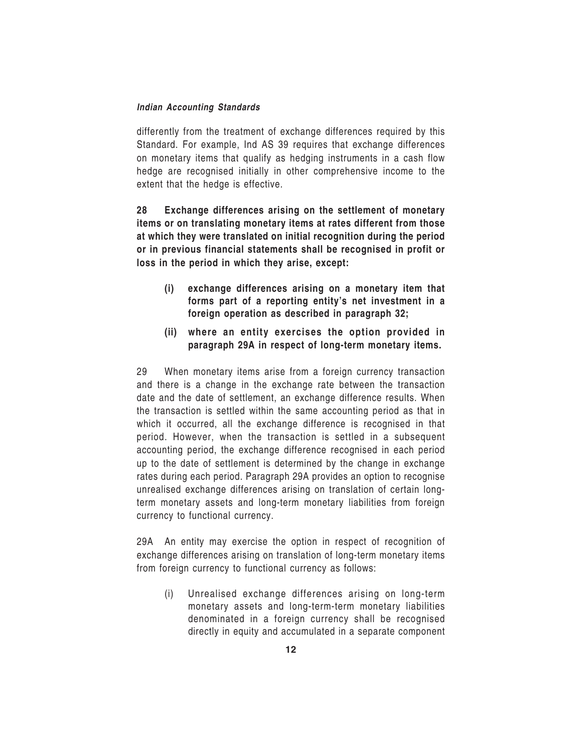differently from the treatment of exchange differences required by this Standard. For example, Ind AS 39 requires that exchange differences on monetary items that qualify as hedging instruments in a cash flow hedge are recognised initially in other comprehensive income to the extent that the hedge is effective.

**28 Exchange differences arising on the settlement of monetary items or on translating monetary items at rates different from those at which they were translated on initial recognition during the period or in previous financial statements shall be recognised in profit or loss in the period in which they arise, except:**

- **(i) exchange differences arising on a monetary item that forms part of a reporting entity's net investment in a foreign operation as described in paragraph 32;**
- **(ii) where an entity exercises the option provided in paragraph 29A in respect of long-term monetary items.**

29 When monetary items arise from a foreign currency transaction and there is a change in the exchange rate between the transaction date and the date of settlement, an exchange difference results. When the transaction is settled within the same accounting period as that in which it occurred, all the exchange difference is recognised in that period. However, when the transaction is settled in a subsequent accounting period, the exchange difference recognised in each period up to the date of settlement is determined by the change in exchange rates during each period. Paragraph 29A provides an option to recognise unrealised exchange differences arising on translation of certain longterm monetary assets and long-term monetary liabilities from foreign currency to functional currency.

29A An entity may exercise the option in respect of recognition of exchange differences arising on translation of long-term monetary items from foreign currency to functional currency as follows:

(i) Unrealised exchange differences arising on long-term monetary assets and long-term-term monetary liabilities denominated in a foreign currency shall be recognised directly in equity and accumulated in a separate component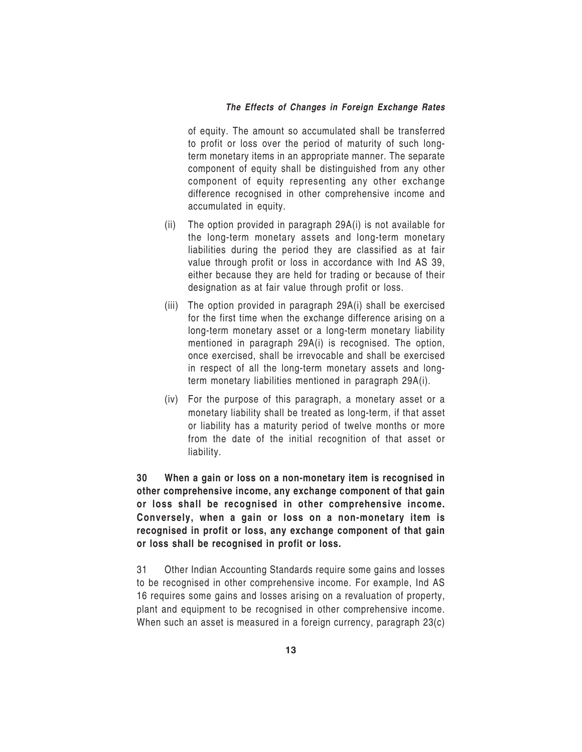of equity. The amount so accumulated shall be transferred to profit or loss over the period of maturity of such longterm monetary items in an appropriate manner. The separate component of equity shall be distinguished from any other component of equity representing any other exchange difference recognised in other comprehensive income and accumulated in equity.

- (ii) The option provided in paragraph 29A(i) is not available for the long-term monetary assets and long-term monetary liabilities during the period they are classified as at fair value through profit or loss in accordance with Ind AS 39, either because they are held for trading or because of their designation as at fair value through profit or loss.
- (iii) The option provided in paragraph 29A(i) shall be exercised for the first time when the exchange difference arising on a long-term monetary asset or a long-term monetary liability mentioned in paragraph 29A(i) is recognised. The option, once exercised, shall be irrevocable and shall be exercised in respect of all the long-term monetary assets and longterm monetary liabilities mentioned in paragraph 29A(i).
- (iv) For the purpose of this paragraph, a monetary asset or a monetary liability shall be treated as long-term, if that asset or liability has a maturity period of twelve months or more from the date of the initial recognition of that asset or liability.

**30 When a gain or loss on a non-monetary item is recognised in other comprehensive income, any exchange component of that gain or loss shall be recognised in other comprehensive income. Conversely, when a gain or loss on a non-monetary item is recognised in profit or loss, any exchange component of that gain or loss shall be recognised in profit or loss.**

31 Other Indian Accounting Standards require some gains and losses to be recognised in other comprehensive income. For example, Ind AS 16 requires some gains and losses arising on a revaluation of property, plant and equipment to be recognised in other comprehensive income. When such an asset is measured in a foreign currency, paragraph 23(c)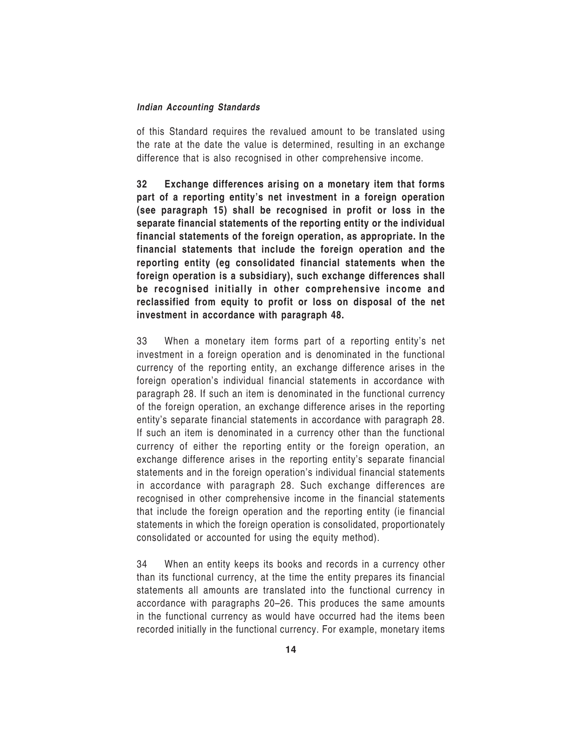of this Standard requires the revalued amount to be translated using the rate at the date the value is determined, resulting in an exchange difference that is also recognised in other comprehensive income.

**32 Exchange differences arising on a monetary item that forms part of a reporting entity's net investment in a foreign operation (see paragraph 15) shall be recognised in profit or loss in the separate financial statements of the reporting entity or the individual financial statements of the foreign operation, as appropriate. In the financial statements that include the foreign operation and the reporting entity (eg consolidated financial statements when the foreign operation is a subsidiary), such exchange differences shall be recognised initially in other comprehensive income and reclassified from equity to profit or loss on disposal of the net investment in accordance with paragraph 48.**

33 When a monetary item forms part of a reporting entity's net investment in a foreign operation and is denominated in the functional currency of the reporting entity, an exchange difference arises in the foreign operation's individual financial statements in accordance with paragraph 28. If such an item is denominated in the functional currency of the foreign operation, an exchange difference arises in the reporting entity's separate financial statements in accordance with paragraph 28. If such an item is denominated in a currency other than the functional currency of either the reporting entity or the foreign operation, an exchange difference arises in the reporting entity's separate financial statements and in the foreign operation's individual financial statements in accordance with paragraph 28. Such exchange differences are recognised in other comprehensive income in the financial statements that include the foreign operation and the reporting entity (ie financial statements in which the foreign operation is consolidated, proportionately consolidated or accounted for using the equity method).

34 When an entity keeps its books and records in a currency other than its functional currency, at the time the entity prepares its financial statements all amounts are translated into the functional currency in accordance with paragraphs 20–26. This produces the same amounts in the functional currency as would have occurred had the items been recorded initially in the functional currency. For example, monetary items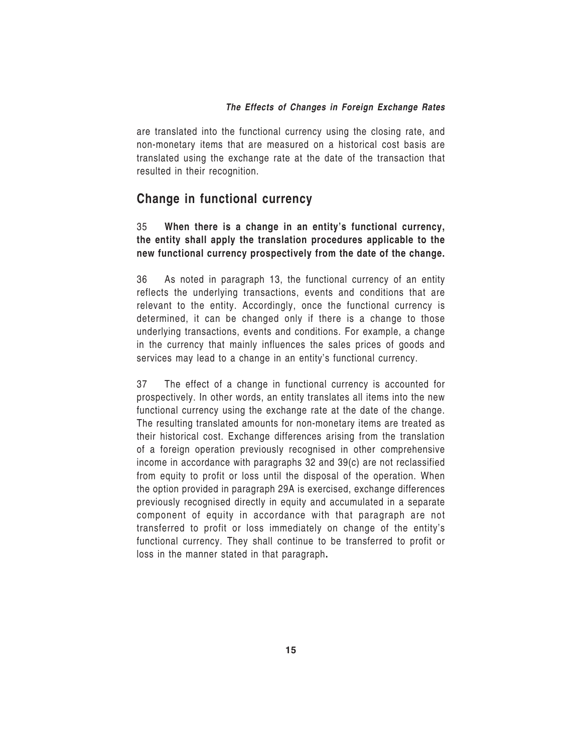are translated into the functional currency using the closing rate, and non-monetary items that are measured on a historical cost basis are translated using the exchange rate at the date of the transaction that resulted in their recognition.

## **Change in functional currency**

### 35 **When there is a change in an entity's functional currency, the entity shall apply the translation procedures applicable to the new functional currency prospectively from the date of the change.**

36 As noted in paragraph 13, the functional currency of an entity reflects the underlying transactions, events and conditions that are relevant to the entity. Accordingly, once the functional currency is determined, it can be changed only if there is a change to those underlying transactions, events and conditions. For example, a change in the currency that mainly influences the sales prices of goods and services may lead to a change in an entity's functional currency.

37 The effect of a change in functional currency is accounted for prospectively. In other words, an entity translates all items into the new functional currency using the exchange rate at the date of the change. The resulting translated amounts for non-monetary items are treated as their historical cost. Exchange differences arising from the translation of a foreign operation previously recognised in other comprehensive income in accordance with paragraphs 32 and 39(c) are not reclassified from equity to profit or loss until the disposal of the operation. When the option provided in paragraph 29A is exercised, exchange differences previously recognised directly in equity and accumulated in a separate component of equity in accordance with that paragraph are not transferred to profit or loss immediately on change of the entity's functional currency. They shall continue to be transferred to profit or loss in the manner stated in that paragraph**.**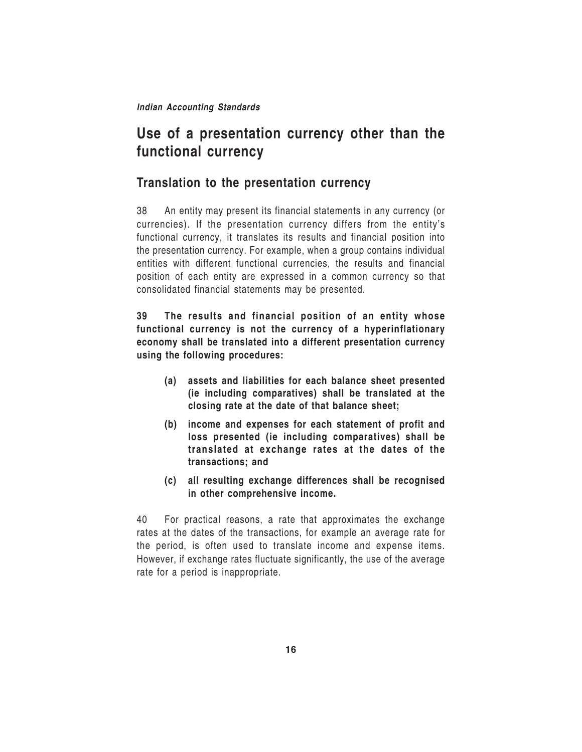## **Use of a presentation currency other than the functional currency**

## **Translation to the presentation currency**

38 An entity may present its financial statements in any currency (or currencies). If the presentation currency differs from the entity's functional currency, it translates its results and financial position into the presentation currency. For example, when a group contains individual entities with different functional currencies, the results and financial position of each entity are expressed in a common currency so that consolidated financial statements may be presented.

**39 The results and financial position of an entity whose functional currency is not the currency of a hyperinflationary economy shall be translated into a different presentation currency using the following procedures:**

- **(a) assets and liabilities for each balance sheet presented (ie including comparatives) shall be translated at the closing rate at the date of that balance sheet;**
- **(b) income and expenses for each statement of profit and loss presented (ie including comparatives) shall be translated at exchange rates at the dates of the transactions; and**
- **(c) all resulting exchange differences shall be recognised in other comprehensive income.**

40 For practical reasons, a rate that approximates the exchange rates at the dates of the transactions, for example an average rate for the period, is often used to translate income and expense items. However, if exchange rates fluctuate significantly, the use of the average rate for a period is inappropriate.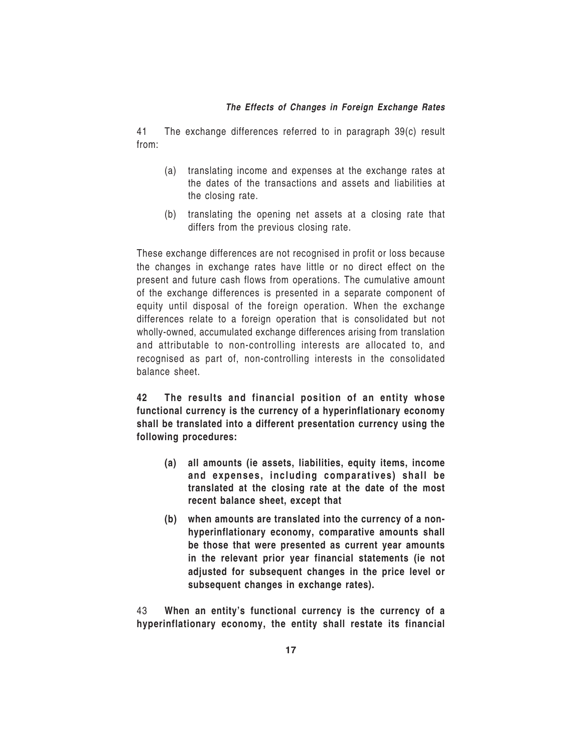41 The exchange differences referred to in paragraph 39(c) result from:

- (a) translating income and expenses at the exchange rates at the dates of the transactions and assets and liabilities at the closing rate.
- (b) translating the opening net assets at a closing rate that differs from the previous closing rate.

These exchange differences are not recognised in profit or loss because the changes in exchange rates have little or no direct effect on the present and future cash flows from operations. The cumulative amount of the exchange differences is presented in a separate component of equity until disposal of the foreign operation. When the exchange differences relate to a foreign operation that is consolidated but not wholly-owned, accumulated exchange differences arising from translation and attributable to non-controlling interests are allocated to, and recognised as part of, non-controlling interests in the consolidated balance sheet.

**42 The results and financial position of an entity whose functional currency is the currency of a hyperinflationary economy shall be translated into a different presentation currency using the following procedures:**

- **(a) all amounts (ie assets, liabilities, equity items, income and expenses, including comparatives) shall be translated at the closing rate at the date of the most recent balance sheet, except that**
- **(b) when amounts are translated into the currency of a nonhyperinflationary economy, comparative amounts shall be those that were presented as current year amounts in the relevant prior year financial statements (ie not adjusted for subsequent changes in the price level or subsequent changes in exchange rates).**

43 **When an entity's functional currency is the currency of a hyperinflationary economy, the entity shall restate its financial**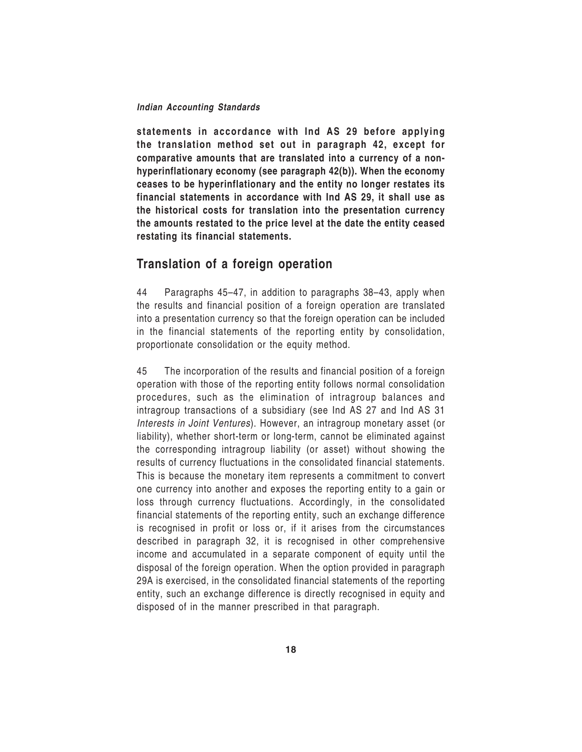**statements in accordance with Ind AS 29 before applying the translation method set out in paragraph 42, except for comparative amounts that are translated into a currency of a nonhyperinflationary economy (see paragraph 42(b)). When the economy ceases to be hyperinflationary and the entity no longer restates its financial statements in accordance with Ind AS 29, it shall use as the historical costs for translation into the presentation currency the amounts restated to the price level at the date the entity ceased restating its financial statements.**

## **Translation of a foreign operation**

44 Paragraphs 45–47, in addition to paragraphs 38–43, apply when the results and financial position of a foreign operation are translated into a presentation currency so that the foreign operation can be included in the financial statements of the reporting entity by consolidation, proportionate consolidation or the equity method.

45 The incorporation of the results and financial position of a foreign operation with those of the reporting entity follows normal consolidation procedures, such as the elimination of intragroup balances and intragroup transactions of a subsidiary (see Ind AS 27 and Ind AS 31 Interests in Joint Ventures). However, an intragroup monetary asset (or liability), whether short-term or long-term, cannot be eliminated against the corresponding intragroup liability (or asset) without showing the results of currency fluctuations in the consolidated financial statements. This is because the monetary item represents a commitment to convert one currency into another and exposes the reporting entity to a gain or loss through currency fluctuations. Accordingly, in the consolidated financial statements of the reporting entity, such an exchange difference is recognised in profit or loss or, if it arises from the circumstances described in paragraph 32, it is recognised in other comprehensive income and accumulated in a separate component of equity until the disposal of the foreign operation. When the option provided in paragraph 29A is exercised, in the consolidated financial statements of the reporting entity, such an exchange difference is directly recognised in equity and disposed of in the manner prescribed in that paragraph.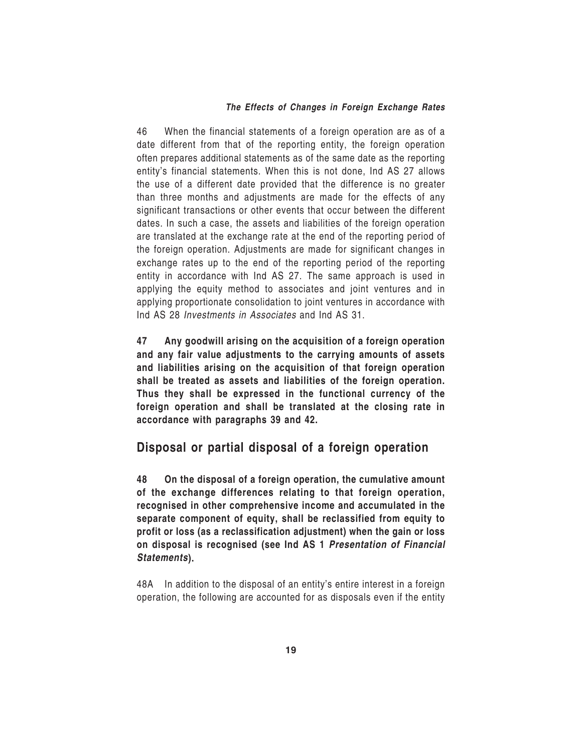46 When the financial statements of a foreign operation are as of a date different from that of the reporting entity, the foreign operation often prepares additional statements as of the same date as the reporting entity's financial statements. When this is not done, Ind AS 27 allows the use of a different date provided that the difference is no greater than three months and adjustments are made for the effects of any significant transactions or other events that occur between the different dates. In such a case, the assets and liabilities of the foreign operation are translated at the exchange rate at the end of the reporting period of the foreign operation. Adjustments are made for significant changes in exchange rates up to the end of the reporting period of the reporting entity in accordance with Ind AS 27. The same approach is used in applying the equity method to associates and joint ventures and in applying proportionate consolidation to joint ventures in accordance with Ind AS 28 Investments in Associates and Ind AS 31.

**47 Any goodwill arising on the acquisition of a foreign operation and any fair value adjustments to the carrying amounts of assets and liabilities arising on the acquisition of that foreign operation shall be treated as assets and liabilities of the foreign operation. Thus they shall be expressed in the functional currency of the foreign operation and shall be translated at the closing rate in accordance with paragraphs 39 and 42.**

## **Disposal or partial disposal of a foreign operation**

**48 On the disposal of a foreign operation, the cumulative amount of the exchange differences relating to that foreign operation, recognised in other comprehensive income and accumulated in the separate component of equity, shall be reclassified from equity to profit or loss (as a reclassification adjustment) when the gain or loss on disposal is recognised (see Ind AS 1 Presentation of Financial Statements).**

48A In addition to the disposal of an entity's entire interest in a foreign operation, the following are accounted for as disposals even if the entity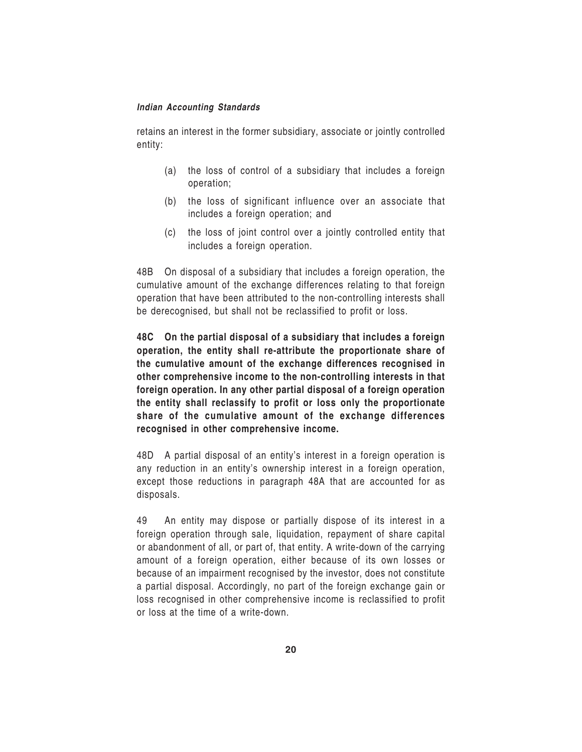retains an interest in the former subsidiary, associate or jointly controlled entity:

- (a) the loss of control of a subsidiary that includes a foreign operation;
- (b) the loss of significant influence over an associate that includes a foreign operation; and
- (c) the loss of joint control over a jointly controlled entity that includes a foreign operation.

48B On disposal of a subsidiary that includes a foreign operation, the cumulative amount of the exchange differences relating to that foreign operation that have been attributed to the non-controlling interests shall be derecognised, but shall not be reclassified to profit or loss.

**48C On the partial disposal of a subsidiary that includes a foreign operation, the entity shall re-attribute the proportionate share of the cumulative amount of the exchange differences recognised in other comprehensive income to the non-controlling interests in that foreign operation. In any other partial disposal of a foreign operation the entity shall reclassify to profit or loss only the proportionate share of the cumulative amount of the exchange differences recognised in other comprehensive income.**

48D A partial disposal of an entity's interest in a foreign operation is any reduction in an entity's ownership interest in a foreign operation, except those reductions in paragraph 48A that are accounted for as disposals.

49 An entity may dispose or partially dispose of its interest in a foreign operation through sale, liquidation, repayment of share capital or abandonment of all, or part of, that entity. A write-down of the carrying amount of a foreign operation, either because of its own losses or because of an impairment recognised by the investor, does not constitute a partial disposal. Accordingly, no part of the foreign exchange gain or loss recognised in other comprehensive income is reclassified to profit or loss at the time of a write-down.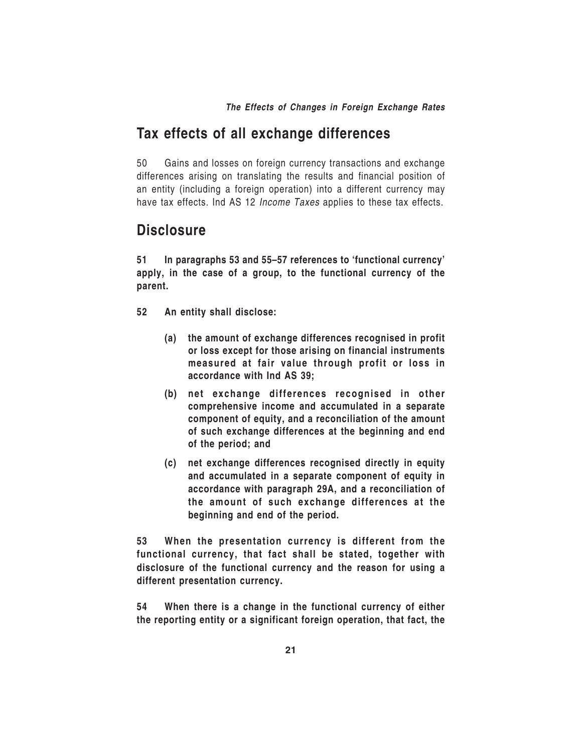## **Tax effects of all exchange differences**

50 Gains and losses on foreign currency transactions and exchange differences arising on translating the results and financial position of an entity (including a foreign operation) into a different currency may have tax effects. Ind AS 12 *Income Taxes* applies to these tax effects.

## **Disclosure**

**51 In paragraphs 53 and 55–57 references to 'functional currency' apply, in the case of a group, to the functional currency of the parent.**

- **52 An entity shall disclose:**
	- **(a) the amount of exchange differences recognised in profit or loss except for those arising on financial instruments measured at fair value through profit or loss in accordance with Ind AS 39;**
	- **(b) net exchange differences recognised in other comprehensive income and accumulated in a separate component of equity, and a reconciliation of the amount of such exchange differences at the beginning and end of the period; and**
	- **(c) net exchange differences recognised directly in equity and accumulated in a separate component of equity in accordance with paragraph 29A, and a reconciliation of the amount of such exchange differences at the beginning and end of the period.**

**53 When the presentation currency is different from the functional currency, that fact shall be stated, together with disclosure of the functional currency and the reason for using a different presentation currency.**

**54 When there is a change in the functional currency of either the reporting entity or a significant foreign operation, that fact, the**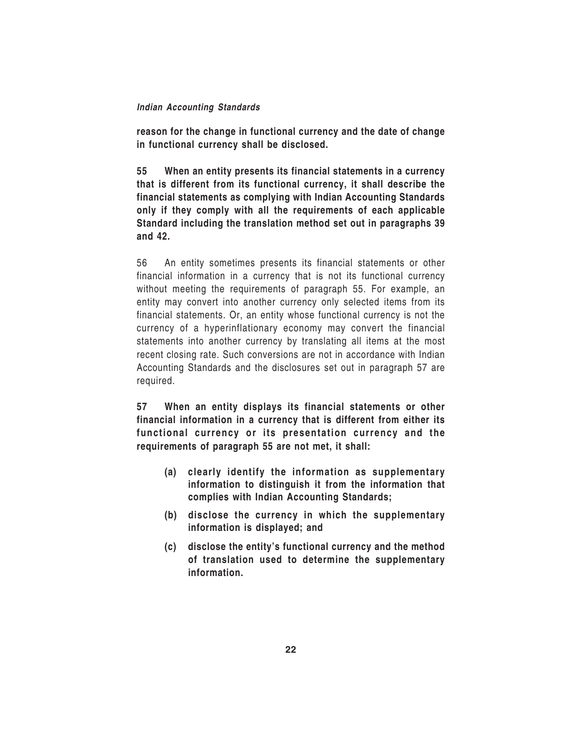**reason for the change in functional currency and the date of change in functional currency shall be disclosed.**

**55 When an entity presents its financial statements in a currency that is different from its functional currency, it shall describe the financial statements as complying with Indian Accounting Standards only if they comply with all the requirements of each applicable Standard including the translation method set out in paragraphs 39 and 42.**

56 An entity sometimes presents its financial statements or other financial information in a currency that is not its functional currency without meeting the requirements of paragraph 55. For example, an entity may convert into another currency only selected items from its financial statements. Or, an entity whose functional currency is not the currency of a hyperinflationary economy may convert the financial statements into another currency by translating all items at the most recent closing rate. Such conversions are not in accordance with Indian Accounting Standards and the disclosures set out in paragraph 57 are required.

**57 When an entity displays its financial statements or other financial information in a currency that is different from either its functional currency or its presentation currency and the requirements of paragraph 55 are not met, it shall:**

- **(a) clearly identify the information as supplementary information to distinguish it from the information that complies with Indian Accounting Standards;**
- **(b) disclose the currency in which the supplementary information is displayed; and**
- **(c) disclose the entity's functional currency and the method of translation used to determine the supplementary information.**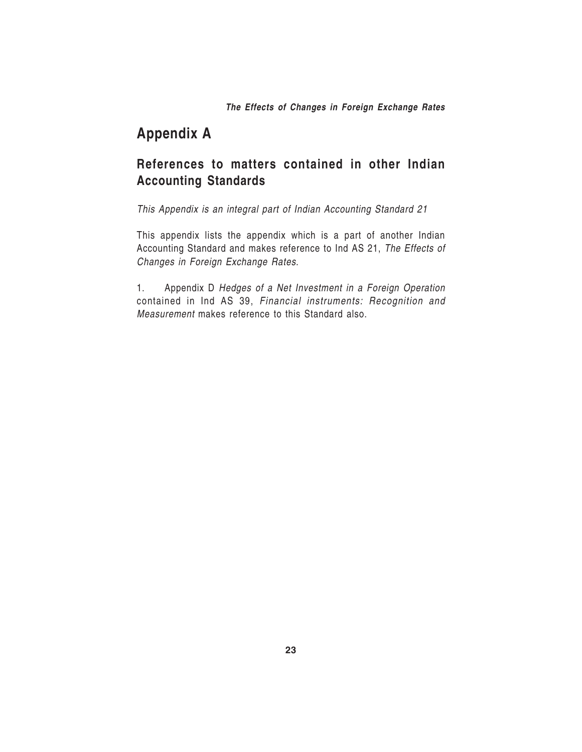## **Appendix A**

## **References to matters contained in other Indian Accounting Standards**

This Appendix is an integral part of Indian Accounting Standard 21

This appendix lists the appendix which is a part of another Indian Accounting Standard and makes reference to Ind AS 21, The Effects of Changes in Foreign Exchange Rates.

1. Appendix D Hedges of a Net Investment in a Foreign Operation contained in Ind AS 39, Financial instruments: Recognition and Measurement makes reference to this Standard also.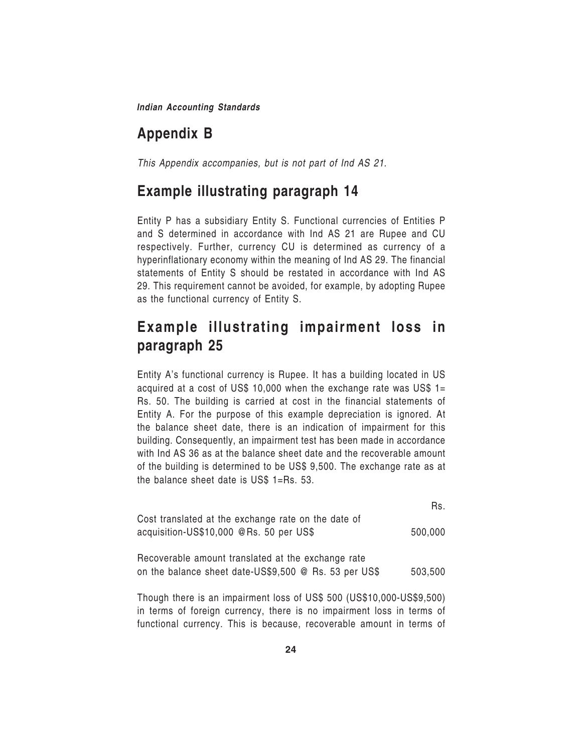## **Appendix B**

This Appendix accompanies, but is not part of Ind AS 21.

## **Example illustrating paragraph 14**

Entity P has a subsidiary Entity S. Functional currencies of Entities P and S determined in accordance with Ind AS 21 are Rupee and CU respectively. Further, currency CU is determined as currency of a hyperinflationary economy within the meaning of Ind AS 29. The financial statements of Entity S should be restated in accordance with Ind AS 29. This requirement cannot be avoided, for example, by adopting Rupee as the functional currency of Entity S.

## **Example illustrating impairment loss in paragraph 25**

Entity A's functional currency is Rupee. It has a building located in US acquired at a cost of US\$ 10,000 when the exchange rate was US\$ 1= Rs. 50. The building is carried at cost in the financial statements of Entity A. For the purpose of this example depreciation is ignored. At the balance sheet date, there is an indication of impairment for this building. Consequently, an impairment test has been made in accordance with Ind AS 36 as at the balance sheet date and the recoverable amount of the building is determined to be US\$ 9,500. The exchange rate as at the balance sheet date is US\$ 1=Rs. 53.

|                                                                                                | Rs.     |
|------------------------------------------------------------------------------------------------|---------|
| Cost translated at the exchange rate on the date of<br>acquisition-US\$10,000 @Rs. 50 per US\$ | 500,000 |
| Recoverable amount translated at the exchange rate                                             |         |
| on the balance sheet date-US\$9,500 @ Rs. 53 per US\$                                          | 503,500 |

Though there is an impairment loss of US\$ 500 (US\$10,000-US\$9,500) in terms of foreign currency, there is no impairment loss in terms of functional currency. This is because, recoverable amount in terms of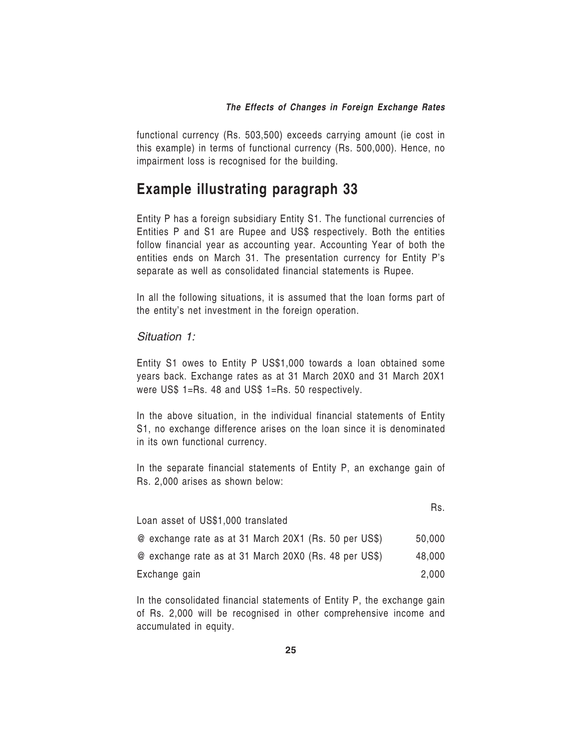functional currency (Rs. 503,500) exceeds carrying amount (ie cost in this example) in terms of functional currency (Rs. 500,000). Hence, no impairment loss is recognised for the building.

## **Example illustrating paragraph 33**

Entity P has a foreign subsidiary Entity S1. The functional currencies of Entities P and S1 are Rupee and US\$ respectively. Both the entities follow financial year as accounting year. Accounting Year of both the entities ends on March 31. The presentation currency for Entity P's separate as well as consolidated financial statements is Rupee.

In all the following situations, it is assumed that the loan forms part of the entity's net investment in the foreign operation.

### Situation 1:

Entity S1 owes to Entity P US\$1,000 towards a loan obtained some years back. Exchange rates as at 31 March 20X0 and 31 March 20X1 were US\$ 1=Rs. 48 and US\$ 1=Rs. 50 respectively.

In the above situation, in the individual financial statements of Entity S1, no exchange difference arises on the loan since it is denominated in its own functional currency.

In the separate financial statements of Entity P, an exchange gain of Rs. 2,000 arises as shown below:

|                                                       | Rs.    |
|-------------------------------------------------------|--------|
| Loan asset of US\$1,000 translated                    |        |
| @ exchange rate as at 31 March 20X1 (Rs. 50 per US\$) | 50,000 |
| @ exchange rate as at 31 March 20X0 (Rs. 48 per US\$) | 48,000 |
| Exchange gain                                         | 2,000  |

In the consolidated financial statements of Entity P, the exchange gain of Rs. 2,000 will be recognised in other comprehensive income and accumulated in equity.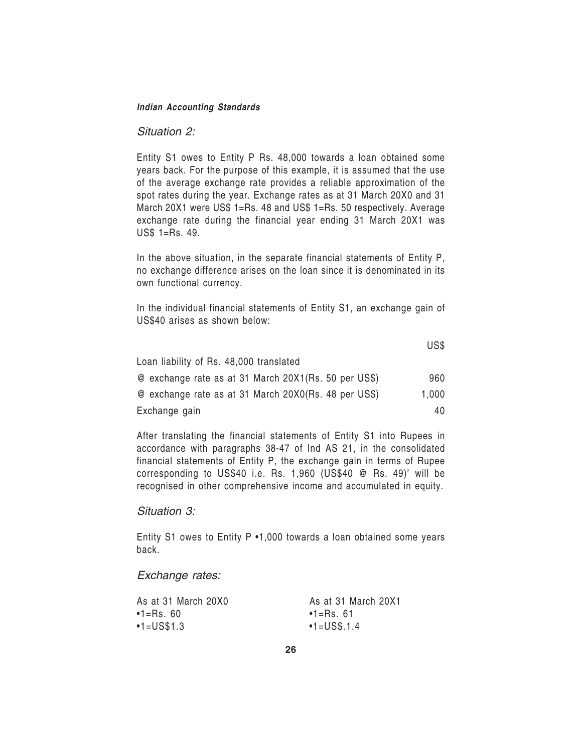### Situation 2:

Entity S1 owes to Entity P Rs. 48,000 towards a loan obtained some years back. For the purpose of this example, it is assumed that the use of the average exchange rate provides a reliable approximation of the spot rates during the year. Exchange rates as at 31 March 20X0 and 31 March 20X1 were US\$ 1=Rs. 48 and US\$ 1=Rs. 50 respectively. Average exchange rate during the financial year ending 31 March 20X1 was US\$ 1=Rs. 49.

In the above situation, in the separate financial statements of Entity P, no exchange difference arises on the loan since it is denominated in its own functional currency.

In the individual financial statements of Entity S1, an exchange gain of US\$40 arises as shown below:

|                                                      | US\$  |
|------------------------------------------------------|-------|
| Loan liability of Rs. 48,000 translated              |       |
| @ exchange rate as at 31 March 20X1(Rs. 50 per US\$) | 960   |
| @ exchange rate as at 31 March 20X0(Rs. 48 per US\$) | 1,000 |
| Exchange gain                                        | 40    |

After translating the financial statements of Entity S1 into Rupees in accordance with paragraphs 38-47 of Ind AS 21, in the consolidated financial statements of Entity P, the exchange gain in terms of Rupee corresponding to US\$40 i.e. Rs. 1,960 (US\$40 @ Rs. 49)' will be recognised in other comprehensive income and accumulated in equity.

### Situation 3:

Entity S1 owes to Entity P •1,000 towards a loan obtained some years back.

### Exchange rates:

| As at 31 March 20X0 | As at 31 March 20X1 |
|---------------------|---------------------|
| ∙1=Rs. 60           | $•1 =$ Rs. 61       |
| •1=US\$1.3          | $•1 = US$.1.4$      |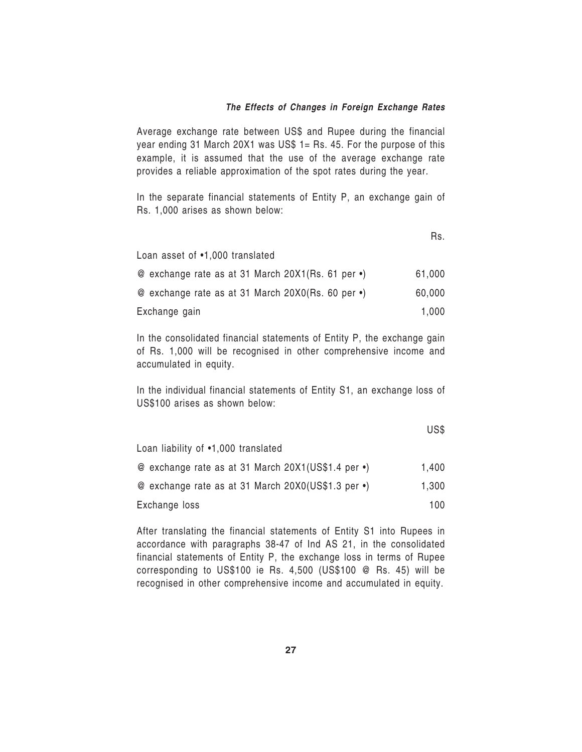Rs.

US\$

Average exchange rate between US\$ and Rupee during the financial year ending 31 March 20X1 was US\$ 1= Rs. 45. For the purpose of this example, it is assumed that the use of the average exchange rate provides a reliable approximation of the spot rates during the year.

In the separate financial statements of Entity P, an exchange gain of Rs. 1,000 arises as shown below:

| Loan asset of •1,000 translated                   |        |
|---------------------------------------------------|--------|
| @ exchange rate as at 31 March 20X1(Rs. 61 per •) | 61,000 |
| @ exchange rate as at 31 March 20X0(Rs. 60 per •) | 60,000 |
| Exchange gain                                     | 1,000  |

In the consolidated financial statements of Entity P, the exchange gain of Rs. 1,000 will be recognised in other comprehensive income and accumulated in equity.

In the individual financial statements of Entity S1, an exchange loss of US\$100 arises as shown below:

| Loan liability of •1,000 translated                |       |
|----------------------------------------------------|-------|
| @ exchange rate as at 31 March 20X1(US\$1.4 per •) | 1,400 |
| @ exchange rate as at 31 March 20X0(US\$1.3 per •) | 1,300 |
| Exchange loss                                      | 100   |

After translating the financial statements of Entity S1 into Rupees in accordance with paragraphs 38-47 of Ind AS 21, in the consolidated financial statements of Entity P, the exchange loss in terms of Rupee corresponding to US\$100 ie Rs. 4,500 (US\$100 @ Rs. 45) will be recognised in other comprehensive income and accumulated in equity.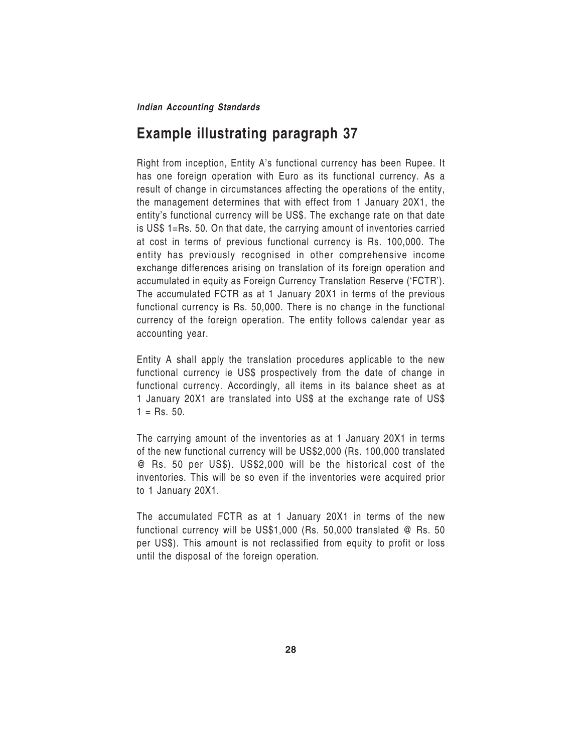## **Example illustrating paragraph 37**

Right from inception, Entity A's functional currency has been Rupee. It has one foreign operation with Euro as its functional currency. As a result of change in circumstances affecting the operations of the entity, the management determines that with effect from 1 January 20X1, the entity's functional currency will be US\$. The exchange rate on that date is US\$ 1=Rs. 50. On that date, the carrying amount of inventories carried at cost in terms of previous functional currency is Rs. 100,000. The entity has previously recognised in other comprehensive income exchange differences arising on translation of its foreign operation and accumulated in equity as Foreign Currency Translation Reserve ('FCTR'). The accumulated FCTR as at 1 January 20X1 in terms of the previous functional currency is Rs. 50,000. There is no change in the functional currency of the foreign operation. The entity follows calendar year as accounting year.

Entity A shall apply the translation procedures applicable to the new functional currency ie US\$ prospectively from the date of change in functional currency. Accordingly, all items in its balance sheet as at 1 January 20X1 are translated into US\$ at the exchange rate of US\$  $1 = Rs. 50.$ 

The carrying amount of the inventories as at 1 January 20X1 in terms of the new functional currency will be US\$2,000 (Rs. 100,000 translated @ Rs. 50 per US\$). US\$2,000 will be the historical cost of the inventories. This will be so even if the inventories were acquired prior to 1 January 20X1.

The accumulated FCTR as at 1 January 20X1 in terms of the new functional currency will be US\$1,000 (Rs. 50,000 translated @ Rs. 50 per US\$). This amount is not reclassified from equity to profit or loss until the disposal of the foreign operation.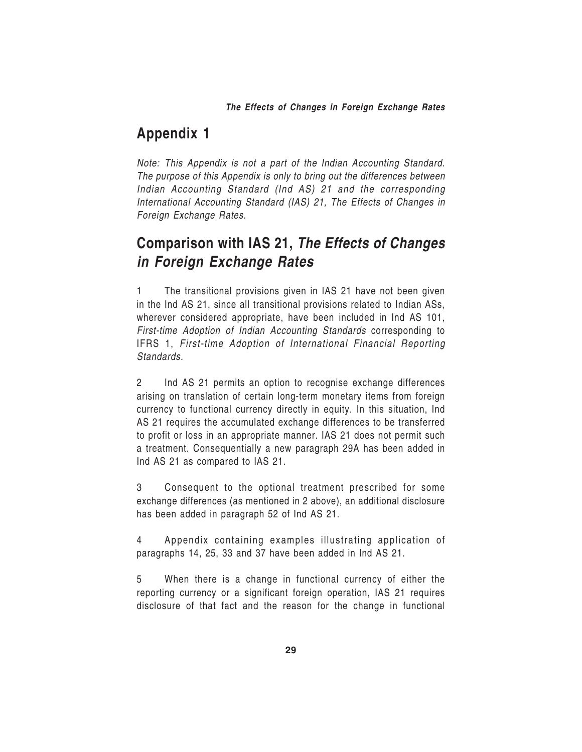## **Appendix 1**

Note: This Appendix is not a part of the Indian Accounting Standard. The purpose of this Appendix is only to bring out the differences between Indian Accounting Standard (Ind AS) 21 and the corresponding International Accounting Standard (IAS) 21, The Effects of Changes in Foreign Exchange Rates.

## **Comparison with IAS 21, The Effects of Changes in Foreign Exchange Rates**

1 The transitional provisions given in IAS 21 have not been given in the Ind AS 21, since all transitional provisions related to Indian ASs, wherever considered appropriate, have been included in Ind AS 101, First-time Adoption of Indian Accounting Standards corresponding to IFRS 1, First-time Adoption of International Financial Reporting Standards.

2 Ind AS 21 permits an option to recognise exchange differences arising on translation of certain long-term monetary items from foreign currency to functional currency directly in equity. In this situation, Ind AS 21 requires the accumulated exchange differences to be transferred to profit or loss in an appropriate manner. IAS 21 does not permit such a treatment. Consequentially a new paragraph 29A has been added in Ind AS 21 as compared to IAS 21.

3 Consequent to the optional treatment prescribed for some exchange differences (as mentioned in 2 above), an additional disclosure has been added in paragraph 52 of Ind AS 21.

4 Appendix containing examples illustrating application of paragraphs 14, 25, 33 and 37 have been added in Ind AS 21.

5 When there is a change in functional currency of either the reporting currency or a significant foreign operation, IAS 21 requires disclosure of that fact and the reason for the change in functional